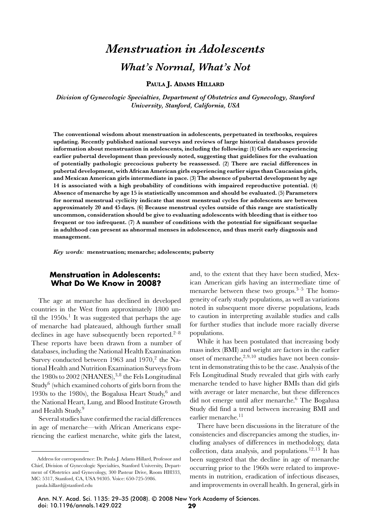# *Menstruation in Adolescents What's Normal, What's Not*

**PAULA J. ADAMS HILLARD**

*Division of Gynecologic Specialties, Department of Obstetrics and Gynecology, Stanford University, Stanford, California, USA*

**The conventional wisdom about menstruation in adolescents, perpetuated in textbooks, requires updating. Recently published national surveys and reviews of large historical databases provide information about menstruation in adolescents, including the following: (1) Girls are experiencing earlier pubertal development than previously noted, suggesting that guidelines for the evaluation of potentially pathologic precocious puberty be reassessed. (2) There are racial differences in pubertal development, with African American girls experiencing earlier signs than Caucasian girls, and Mexican American girls intermediate in pace. (3) The absence of pubertal development by age 14 is associated with a high probability of conditions with impaired reproductive potential. (4) Absence of menarche by age 15 is statistically uncommon and should be evaluated. (5) Parameters for normal menstrual cyclicity indicate that most menstrual cycles for adolescents are between approximately 20 and 45 days. (6) Because menstrual cycles outside of this range are statistically uncommon, consideration should be give to evaluating adolescents with bleeding that is either too frequent or too infrequent. (7) A number of conditions with the potential for significant sequelae in adulthood can present as abnormal menses in adolescence, and thus merit early diagnosis and management.**

*Key words:* **menstruation; menarche; adolescents; puberty**

## **Menstruation in Adolescents: What Do We Know in 2008?**

The age at menarche has declined in developed countries in the West from approximately 1800 until the  $1950s<sup>1</sup>$ . It was suggested that perhaps the age of menarche had plateaued, although further small declines in age have subsequently been reported. $2-8$ These reports have been drawn from a number of databases, including the National Health Examination Survey conducted between 1963 and 1970, $2$  the National Health and Nutrition Examination Surveys from the 1980s to 2002 (NHANES),<sup>3,8</sup> the Fels Longitudinal  $Study<sup>6</sup>$  (which examined cohorts of girls born from the 1930s to the 1980s), the Bogalusa Heart Study,  $6$  and the National Heart, Lung, and Blood Institute Growth and Health Study.<sup>9</sup>

Several studies have confirmed the racial differences in age of menarche—with African Americans experiencing the earliest menarche, white girls the latest,

paula.hillard@stanford.edu

and, to the extent that they have been studied, Mexican American girls having an intermediate time of menarche between these two groups. $3-5$  The homogeneity of early study populations, as well as variations noted in subsequent more diverse populations, leads to caution in interpreting available studies and calls for further studies that include more racially diverse populations.

While it has been postulated that increasing body mass index (BMI) and weight are factors in the earlier onset of menarche,<sup>2</sup>*,*9*,*<sup>10</sup> studies have not been consistent in demonstrating this to be the case. Analysis of the Fels Longitudinal Study revealed that girls with early menarche tended to have higher BMIs than did girls with average or later menarche, but these differences did not emerge until after menarche.<sup>6</sup> The Bogalusa Study did find a trend between increasing BMI and earlier menarche.<sup>11</sup>

There have been discussions in the literature of the consistencies and discrepancies among the studies, including analyses of differences in methodology, data collection, data analysis, and populations.<sup>12</sup>*,*<sup>13</sup> It has been suggested that the decline in age of menarche occurring prior to the 1960s were related to improvements in nutrition, eradication of infectious diseases, and improvements in overall health. In general, girls in

Ann. N.Y. Acad. Sci. 1135: 29–35 (2008). © 2008 New York Academy of Sciences. doi: 10.1196/annals.1429.022 **29**

Address for correspondence: Dr. Paula J. Adams Hillard, Professor and Chief, Division of Gynecologic Specialties, Stanford University, Department of Obstetrics and Gynecology, 300 Pasteur Drive, Room HH333, MC: 5317, Stanford, CA, USA 94305. Voice: 650-725-5986.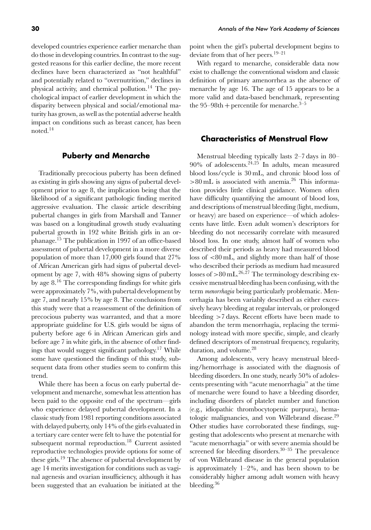developed countries experience earlier menarche than do those in developing countries. In contrast to the suggested reasons for this earlier decline, the more recent declines have been characterized as "not healthful" and potentially related to "overnutrition," declines in physical activity, and chemical pollution.<sup>14</sup> The psychological impact of earlier development in which the disparity between physical and social/emotional maturity has grown, as well as the potential adverse health impact on conditions such as breast cancer, has been noted.14

#### **Puberty and Menarche**

Traditionally precocious puberty has been defined as existing in girls showing any signs of pubertal development prior to age 8, the implication being that the likelihood of a significant pathologic finding merited aggressive evaluation. The classic article describing pubertal changes in girls from Marshall and Tanner was based on a longitudinal growth study evaluating pubertal growth in 192 white British girls in an orphanage.<sup>15</sup> The publication in 1997 of an office-based assessment of pubertal development in a more diverse population of more than 17,000 girls found that 27% of African American girls had signs of pubertal development by age 7, with 48% showing signs of puberty by age 8.16 The corresponding findings for white girls were approximately 7%, with pubertal development by age 7, and nearly 15% by age 8. The conclusions from this study were that a reassessment of the definition of precocious puberty was warranted, and that a more appropriate guideline for U.S. girls would be signs of puberty before age 6 in African American girls and before age 7 in white girls, in the absence of other findings that would suggest significant pathology.<sup>17</sup> While some have questioned the findings of this study, subsequent data from other studies seem to confirm this trend.

While there has been a focus on early pubertal development and menarche, somewhat less attention has been paid to the opposite end of the spectrum—girls who experience delayed pubertal development. In a classic study from 1981 reporting conditions associated with delayed puberty, only 14% of the girls evaluated in a tertiary care center were felt to have the potential for subsequent normal reproduction.<sup>18</sup> Current assisted reproductive technologies provide options for some of these girls.<sup>19</sup> The absence of pubertal development by age 14 merits investigation for conditions such as vaginal agenesis and ovarian insufficiency, although it has been suggested that an evaluation be initiated at the point when the girl's pubertal development begins to deviate from that of her peers. $19-21$ 

With regard to menarche, considerable data now exist to challenge the conventional wisdom and classic definition of primary amenorrhea as the absence of menarche by age 16. The age of 15 appears to be a more valid and data-based benchmark, representing the 95–98th + percentile for menarche.<sup>3–5</sup>

## **Characteristics of Menstrual Flow**

Menstrual bleeding typically lasts 2–7 days in 80– 90% of adolescents.24*,*<sup>25</sup> In adults, mean measured blood loss/cycle is 30 mL, and chronic blood loss of *>*80 mL is associated with anemia.26 This information provides little clinical guidance. Women often have difficulty quantifying the amount of blood loss, and descriptions of menstrual bleeding (light, medium, or heavy) are based on experience—of which adolescents have little. Even adult women's descriptors for bleeding do not necessarily correlate with measured blood loss. In one study, almost half of women who described their periods as heavy had measured blood loss of *<*80 mL, and slightly more than half of those who described their periods as medium had measured losses of  $>80$  mL.<sup>26,27</sup> The terminology describing excessive menstrual bleeding has been confusing, with the term *menorrhagia* being particularly problematic. Menorrhagia has been variably described as either excessively heavy bleeding at regular intervals, or prolonged bleeding *>*7 days. Recent efforts have been made to abandon the term menorrhagia, replacing the terminology instead with more specific, simple, and clearly defined descriptors of menstrual frequency, regularity, duration, and volume.<sup>28</sup>

Among adolescents, very heavy menstrual bleeding/hemorrhage is associated with the diagnosis of bleeding disorders. In one study, nearly 50% of adolescents presenting with "acute menorrhagia" at the time of menarche were found to have a bleeding disorder, including disorders of platelet number and function (e.g., idiopathic thrombocytopenic purpura), hematologic malignancies, and von Willebrand disease.<sup>29</sup> Other studies have corroborated these findings, suggesting that adolescents who present at menarche with "acute menorrhagia" or with severe anemia should be screened for bleeding disorders.<sup>30–35</sup> The prevalence of von Willebrand disease in the general population is approximately 1–2%, and has been shown to be considerably higher among adult women with heavy bleeding.<sup>36</sup>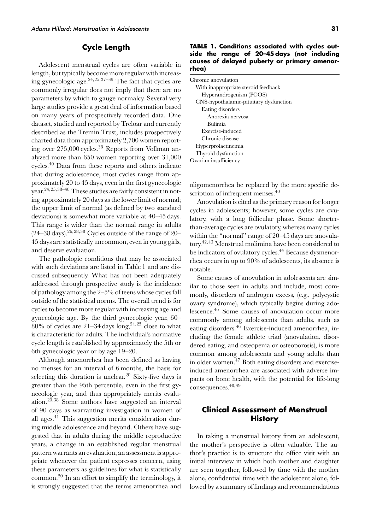## **Cycle Length**

Adolescent menstrual cycles are often variable in length, but typically become more regular with increasing gynecologic age.24*,*25*,*37–39 The fact that cycles are commonly irregular does not imply that there are no parameters by which to gauge normalcy. Several very large studies provide a great deal of information based on many years of prospectively recorded data. One dataset, studied and reported by Treloar and currently described as the Tremin Trust, includes prospectively charted data from approximately 2,700 women reporting over 275,000 cycles.<sup>38</sup> Reports from Vollman analyzed more than 650 women reporting over 31,000 cycles.40 Data from these reports and others indicate that during adolescence, most cycles range from approximately 20 to 45 days, even in the first gynecologic year.<sup>24</sup>*,*25*,*38–40 These studies are fairly consistent in noting approximately 20 days as the lower limit of normal; the upper limit of normal (as defined by two standard deviations) is somewhat more variable at 40–45 days. This range is wider than the normal range in adults (24–38 days).<sup>26</sup>*,*28*,*<sup>38</sup> Cycles outside of the range of 20– 45 days are statistically uncommon, even in young girls, and deserve evaluation.

The pathologic conditions that may be associated with such deviations are listed in Table 1 and are discussed subsequently. What has not been adequately addressed through prospective study is the incidence of pathology among the 2–5% of teens whose cycles fall outside of the statistical norms. The overall trend is for cycles to become more regular with increasing age and gynecologic age. By the third gynecologic year, 60–  $80\%$  of cycles are  $21-34$  days long,  $24.25$  close to what is characteristic for adults. The individual's normative cycle length is established by approximately the 5th or 6th gynecologic year or by age 19–20.

Although amenorrhea has been defined as having no menses for an interval of 6 months, the basis for selecting this duration is unclear.<sup>20</sup> Sixty-five days is greater than the 95th percentile, even in the first gynecologic year, and thus appropriately merits evaluation.<sup>20</sup>*,*<sup>38</sup> Some authors have suggested an interval of 90 days as warranting investigation in women of all ages. $^{41}$  This suggestion merits consideration during middle adolescence and beyond. Others have suggested that in adults during the middle reproductive years, a change in an established regular menstrual pattern warrants an evaluation; an assessment is appropriate whenever the patient expresses concern, using these parameters as guidelines for what is statistically common.<sup>20</sup> In an effort to simplify the terminology, it is strongly suggested that the terms amenorrhea and

#### **TABLE 1. Conditions associated with cycles outside the range of 20–45 days (not including causes of delayed puberty or primary amenorrhea)**

| Chronic anovulation                    |
|----------------------------------------|
| With inappropriate steroid feedback    |
| Hyperandrogenism (PCOS)                |
| CNS-hypothalamic-pituitary dysfunction |
| Eating disorders                       |
| Anorexia nervosa                       |
| Bulimia                                |
| Exercise-induced                       |
| Chronic disease                        |
| Hyperprolactinemia                     |
| Thyroid dysfunction                    |
| Ovarian insufficiency                  |

oligomenorrhea be replaced by the more specific description of infrequent menses.<sup>40</sup>

Anovulation is cited as the primary reason for longer cycles in adolescents; however, some cycles are ovulatory, with a long follicular phase. Some shorterthan-average cycles are ovulatory, whereas many cycles within the "normal" range of 20–45 days are anovulatory.<sup>42</sup>*,*<sup>43</sup> Menstrual molimina have been considered to be indicators of ovulatory cycles.<sup>44</sup> Because dysmenorrhea occurs in up to 90% of adolescents, its absence is notable.

Some causes of anovulation in adolescents are similar to those seen in adults and include, most commonly, disorders of androgen excess, (e.g., polycystic ovary syndrome), which typically begins during adolescence.45 Some causes of anovulation occur more commonly among adolescents than adults, such as eating disorders.46 Exercise-induced amenorrhea, including the female athlete triad (anovulation, disordered eating, and osteopenia or osteoporosis), is more common among adolescents and young adults than in older women.<sup>47</sup> Both eating disorders and exerciseinduced amenorrhea are associated with adverse impacts on bone health, with the potential for life-long consequences.48*,*<sup>49</sup>

# **Clinical Assessment of Menstrual History**

In taking a menstrual history from an adolescent, the mother's perspective is often valuable. The author's practice is to structure the office visit with an initial interview in which both mother and daughter are seen together, followed by time with the mother alone, confidential time with the adolescent alone, followed by a summary of findings and recommendations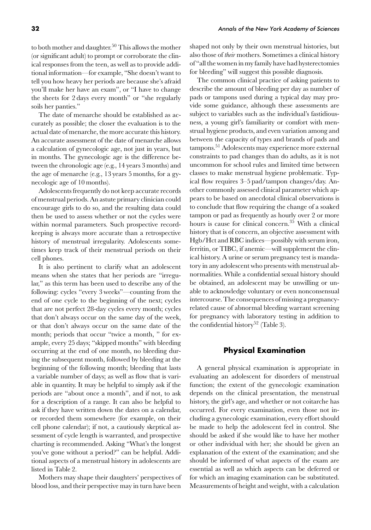to both mother and daughter.<sup>50</sup> This allows the mother (or significant adult) to prompt or corroborate the clinical responses from the teen, as well as to provide additional information—for example, "She doesn't want to tell you how heavy her periods are because she's afraid you'll make her have an exam", or "I have to change the sheets for 2 days every month" or "she regularly soils her panties."

The date of menarche should be established as accurately as possible; the closer the evaluation is to the actual date of menarche, the more accurate this history. An accurate assessment of the date of menarche allows a calculation of gynecologic age, not just in years, but in months. The gynecologic age is the difference between the chronologic age (e.g., 14 years 3 months) and the age of menarche (e.g., 13 years 5 months, for a gynecologic age of 10 months).

Adolescents frequently do not keep accurate records of menstrual periods. An astute primary clinician could encourage girls to do so, and the resulting data could then be used to assess whether or not the cycles were within normal parameters. Such prospective recordkeeping is always more accurate than a retrospective history of menstrual irregularity. Adolescents sometimes keep track of their menstrual periods on their cell phones.

It is also pertinent to clarify what an adolescent means when she states that her periods are "irregular," as this term has been used to describe any of the following: cycles "every 3 weeks"—counting from the end of one cycle to the beginning of the next; cycles that are not perfect 28-day cycles every month; cycles that don't always occur on the same day of the week, or that don't always occur on the same date of the month; periods that occur "twice a month, " for example, every 25 days; "skipped months" with bleeding occurring at the end of one month, no bleeding during the subsequent month, followed by bleeding at the beginning of the following month; bleeding that lasts a variable number of days; as well as flow that is variable in quantity. It may be helpful to simply ask if the periods are "about once a month", and if not, to ask for a description of a range. It can also be helpful to ask if they have written down the dates on a calendar, or recorded them somewhere (for example, on their cell phone calendar); if not, a cautiously skeptical assessment of cycle length is warranted, and prospective charting is recommended. Asking "What's the longest you've gone without a period?" can be helpful. Additional aspects of a menstrual history in adolescents are listed in Table 2.

Mothers may shape their daughters' perspectives of blood loss, and their perspective may in turn have been

shaped not only by their own menstrual histories, but also those of *their* mothers. Sometimes a clinical history of "all the women in my family have had hysterectomies for bleeding" will suggest this possible diagnosis.

The common clinical practice of asking patients to describe the amount of bleeding per day as number of pads or tampons used during a typical day may provide some guidance, although these assessments are subject to variables such as the individual's fastidiousness, a young girl's familiarity or comfort with menstrual hygiene products, and even variation among and between the capacity of types and brands of pads and tampons.51 Adolescents may experience more external constraints to pad changes than do adults, as it is not uncommon for school rules and limited time between classes to make menstrual hygiene problematic. Typical flow requires 3–5 pad/tampon changes/day. Another commonly assessed clinical parameter which appears to be based on anecdotal clinical observations is to conclude that flow requiring the change of a soaked tampon or pad as frequently as hourly over 2 or more hours is cause for clinical concern.<sup>35</sup> With a clinical history that is of concern, an objective assessment with Hgb/Hct and RBC indices—possibly with serum iron, ferritin, or TIBC, if anemic—will supplement the clinical history. A urine or serum pregnancy test is mandatory in any adolescent who presents with menstrual abnormalities. While a confidential sexual history should be obtained, an adolescent may be unwilling or unable to acknowledge voluntary or even nonconsensual intercourse. The consequences of missing a pregnancyrelated cause of abnormal bleeding warrant screening for pregnancy with laboratory testing in addition to the confidential history<sup>52</sup> (Table 3).

## **Physical Examination**

A general physical examination is appropriate in evaluating an adolescent for disorders of menstrual function; the extent of the gynecologic examination depends on the clinical presentation, the menstrual history, the girl's age, and whether or not coitarche has occurred. For every examination, even those not including a gynecologic examination, every effort should be made to help the adolescent feel in control. She should be asked if she would like to have her mother or other individual with her; she should be given an explanation of the extent of the examination; and she should be informed of what aspects of the exam are essential as well as which aspects can be deferred or for which an imaging examination can be substituted. Measurements of height and weight, with a calculation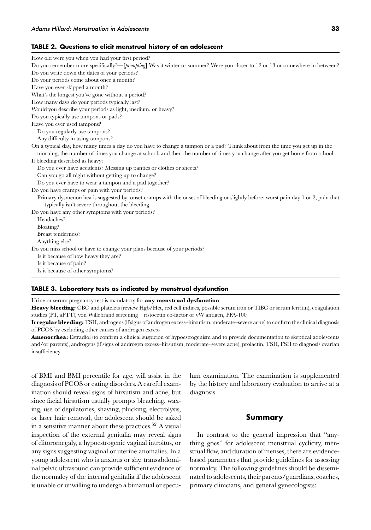#### **TABLE 2. Questions to elicit menstrual history of an adolescent**

How old were you when you had your first period? Do you remember more specifically?—[*prompting*] Was it winter or summer? Were you closer to 12 or 13 or somewhere in between? Do you write down the dates of your periods? Do your periods come about once a month? Have you ever skipped a month? What's the longest you've gone without a period? How many days do your periods typically last? Would you describe your periods as light, medium, or heavy? Do you typically use tampons or pads? Have you ever used tampons? Do you regularly use tampons? Any difficulty in using tampons? On a typical day, how many times a day do you have to change a tampon or a pad? Think about from the time you get up in the morning, the number of times you change at school, and then the number of times you change after you get home from school. If bleeding described as heavy: Do you ever have accidents? Messing up panties or clothes or sheets? Can you go all night without getting up to change? Do you ever have to wear a tampon and a pad together? Do you have cramps or pain with your periods? Primary dysmenorrhea is suggested by: onset cramps with the onset of bleeding or slightly before; worst pain day 1 or 2, pain that typically isn't severe throughout the bleeding Do you have any other symptoms with your periods? Headaches? Bloating? Breast tenderness? Anything else? Do you miss school or have to change your plans because of your periods? Is it because of how heavy they are? Is it because of pain? Is it because of other symptoms?

#### **TABLE 3. Laboratory tests as indicated by menstrual dysfunction**

Urine or serum pregnancy test is mandatory for **any menstrual dysfunction**

**Heavy bleeding:** CBC and platelets (review Hgb/Hct, red cell indices, possible serum iron or TIBC or serum ferritin), coagulation studies (PT, aPTT), von Willebrand screening—ristocetin co-factor or vW antigen, PFA-100

**Irregular bleeding:**TSH, androgens (if signs of androgen excess–hirsutism, moderate–severe acne) to confirm the clinical diagnosis of PCOS by excluding other causes of androgen excess

**Amenorrhea:** Estradiol (to confirm a clinical suspicion of hypoestrogenism and to provide documentation to skeptical adolescents and/or parents), androgens (if signs of androgen excess–hirsutism, moderate–severe acne), prolactin, TSH, FSH to diagnosis ovarian insufficiency

of BMI and BMI percentile for age, will assist in the diagnosis of PCOS or eating disorders. A careful examination should reveal signs of hirsutism and acne, but since facial hirsutism usually prompts bleaching, waxing, use of depilatories, shaving, plucking, electrolysis, or laser hair removal, the adolescent should be asked in a sensitive manner about these practices.<sup>52</sup> A visual inspection of the external genitalia may reveal signs of clitoromegaly, a hypoestrogenic vaginal introitus, or any signs suggesting vaginal or uterine anomalies. In a young adolescent who is anxious or shy, transabdominal pelvic ultrasound can provide sufficient evidence of the normalcy of the internal genitalia if the adolescent is unable or unwilling to undergo a bimanual or speculum examination. The examination is supplemented by the history and laboratory evaluation to arrive at a diagnosis.

#### **Summary**

In contrast to the general impression that "anything goes" for adolescent menstrual cyclicity, menstrual flow, and duration of menses, there are evidencebased parameters that provide guidelines for assessing normalcy. The following guidelines should be disseminated to adolescents, their parents/guardians, coaches, primary clinicians, and general gynecologists: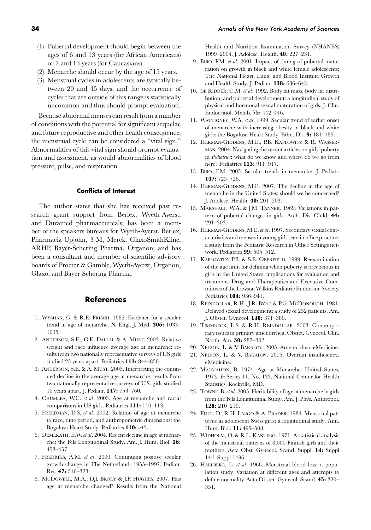- (1) Pubertal development should begin between the ages of 6 and 13 years (for African Americans) or 7 and 13 years (for Caucasians).
- (2) Menarche should occur by the age of 15 years.
- (3) Menstrual cycles in adolescents are typically between 20 and 45 days, and the occurrence of cycles that are outside of this range is statistically uncommon and thus should prompt evaluation.

Because abnormal menses can result from a number of conditions with the potential for significant sequelae and future reproductive and other health consequence, the menstrual cycle can be considered a "vital sign." Abnormalities of this vital sign should prompt evaluation and assessment, as would abnormalities of blood pressure, pulse, and respiration.

#### **Conflicts of Interest**

The author states that she has received past research grant support from Berlex, Wyeth-Ayerst, and Duramed pharmaceuticals; has been a member of the speakers bureaus for Wyeth-Ayerst, Berlex, Pharmacia-Upjohn, 3-M, Merck, GlaxoSmithKline, ARHP, Bayer-Schering Pharma, Organon; and has been a consultant and member of scientific advisory boards of Procter & Gamble, Wyeth-Ayerst, Organon, Glaxo, and Bayer-Schering Pharma.

## **References**

- 1. WYSHAK, G. & R.E. FRISCH. 1982. Evidence for a secular trend in age of menarche. N. Engl. J. Med. **306:** 1033– 1035.
- 2. ANDERSON, S.E., G.E. DALLAL & A. MUST. 2003. Relative weight and race influence average age at menarche: results from two nationally representative surveys of US girls studied 25 years apart. Pediatrics **111:** 844–850.
- 3. ANDERSON, S.E. & A. MUST. 2005. Interpreting the continued decline in the average age at menarche: results from two nationally representative surveys of U.S. girls studied 10 years apart. J. Pediatr. **147:** 753–760.
- 4. CHUMLEA, W.C. *et al*. 2003. Age at menarche and racial comparisons in US girls. Pediatrics **111:** 110–113.
- 5. FREEDMAN, D.S. *et al*. 2002. Relation of age at menarche to race, time period, and anthropometric dimensions: the Bogalusa Heart Study. Pediatrics **110:** e43.
- 6. DEMERATH, E.W. *et al*. 2004. Recent decline in age at menarche: the Fels Longitudinal Study. Am. J. Hum. Biol. **16:** 453–457.
- 7. FREDRIKS, A.M. *et al*. 2000. Continuing positive secular growth change in The Netherlands 1955–1997. Pediatr. Res. **47:** 316–323.
- 8. MCDOWELL, M.A., D.J. BRODY & J.P. HUGHES. 2007. Has age at menarche changed? Results from the National

Health and Nutrition Examination Survey (NHANES) 1999–2004. J. Adolesc. Health. **40:** 227–231.

- 9. BIRO, F.M. *et al*. 2001. Impact of timing of pubertal maturation on growth in black and white female adolescents: The National Heart, Lung, and Blood Institute Growth and Health Study. J. Pediatr. **138:** 636–643.
- 10. DE RIDDER, C.M. *et al*. 1992. Body fat mass, body fat distribution, and pubertal development: a longitudinal study of physical and hormonal sexual maturation of girls. J. Clin. Endocrinol. Metab. **75:** 442–446.
- 11. WATTIGNEY, W.A. *et al*. 1999. Secular trend of earlier onset of menarche with increasing obesity in black and white girls: the Bogalusa Heart Study. Ethn. Dis. **9:** 181–189.
- 12. HERMAN-GIDDENS, M.E., P.B. KAPLOWITZ & R. WASSER-MAN. 2004. Navigating the recent articles on girls' puberty in *Pediatrics*: what do we know and where do we go from here? Pediatrics **113:** 911–917.
- 13. BIRO, F.M. 2005. Secular trends in menarche. J. Pediatr. **147:** 725–726.
- 14. HERMAN-GIDDENS, M.E. 2007. The decline in the age of menarche in the United States: should we be concerned? J. Adolesc. Health. **40:** 201–203.
- 15. MARSHALL, W.A. & J.M. TANNER. 1969. Variations in pattern of pubertal changes in girls. Arch. Dis. Child. **44:** 291–303.
- 16. HERMAN-GIDDENS, M.E. *et al*. 1997. Secondary sexual characteristics and menses in young girls seen in office practice: a study from the Pediatric Research in Office Settings network. Pediatrics **99:** 505–512.
- 17. KAPLOWITZ, P.B. & S.E. OBERFIELD. 1999. Reexamination of the age limit for defining when puberty is precocious in girls in the United States: implications for evaluation and treatment. Drug and Therapeutics and Executive Committees of the Lawson Wilkins Pediatric Endocrine Society. Pediatrics **104:** 936–941.
- 18. REINDOLLAR, R.H., J.R. BYRD & P.G. MCDONOUGH. 1981. Delayed sexual development: a study of 252 patients. Am. J. Obstet. Gynecol. **140:** 371–380.
- 19. TIMMRECK, L.S. & R.H. REINDOLLAR. 2003. Contemporary issues in primary amenorrhea. Obstet. Gynecol. Clin. North. Am. **30:** 287–302.
- 20. NELSON, L. & V. BAKALOV. 2005. Amenorrhea. eMedicine.
- 21. NELSON, L. & V. BAKALOV. 2005. Ovarian insufficiency. eMedicine.
- 22. MACMAHON, B. 1974. Age at Menarche: United States, 1973. *In* Series 11, No. 133. National Center for Health Statistics. Rockville, MD.
- 23. TOWNE, B. *et al*. 2005. Heritability of age at menarche in girls from the Fels Longitudinal Study. Am. J. Phys. Anthropol. **128:** 210–219.
- 24. FLUG, D., R.H. LARGO & A. PRADER. 1984. Menstrual patterns in adolescent Swiss girls: a longitudinal study. Ann. Hum. Biol. **11:** 495–508.
- 25. WIDHOLM, O. & R.L. KANTERO. 1971. A statistical analysis of the menstrual patterns of 8,000 Finnish girls and their mothers. Acta Obst. Gynecol. Scand. Suppl. **14:** Suppl 14:1-Suppl 1436.
- 26. HALLBERG, L. *et al*. 1966. Menstrual blood loss: a population study. Variation at different ages and attempts to define normality. Acta Obstet. Gynecol. Scand. **45:** 320– 351.